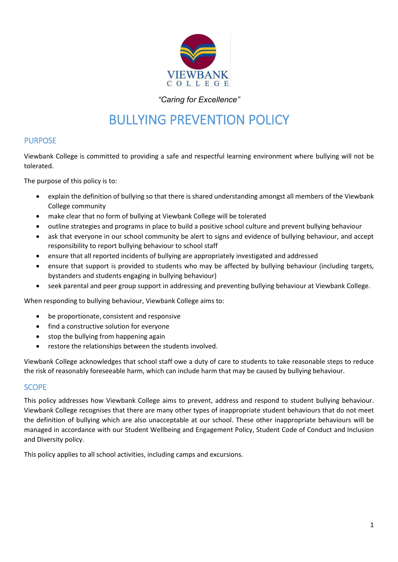

# *"Caring for Excellence"*

# BULLYING PREVENTION POLICY

# PURPOSE

Viewbank College is committed to providing a safe and respectful learning environment where bullying will not be tolerated.

The purpose of this policy is to:

- explain the definition of bullying so that there is shared understanding amongst all members of the Viewbank College community
- make clear that no form of bullying at Viewbank College will be tolerated
- outline strategies and programs in place to build a positive school culture and prevent bullying behaviour
- ask that everyone in our school community be alert to signs and evidence of bullying behaviour, and accept responsibility to report bullying behaviour to school staff
- ensure that all reported incidents of bullying are appropriately investigated and addressed
- ensure that support is provided to students who may be affected by bullying behaviour (including targets, bystanders and students engaging in bullying behaviour)
- seek parental and peer group support in addressing and preventing bullying behaviour at Viewbank College.

When responding to bullying behaviour, Viewbank College aims to:

- be proportionate, consistent and responsive
- find a constructive solution for everyone
- stop the bullying from happening again
- restore the relationships between the students involved.

Viewbank College acknowledges that school staff owe a duty of care to students to take reasonable steps to reduce the risk of reasonably foreseeable harm, which can include harm that may be caused by bullying behaviour.

## **SCOPE**

This policy addresses how Viewbank College aims to prevent, address and respond to student bullying behaviour. Viewbank College recognises that there are many other types of inappropriate student behaviours that do not meet the definition of bullying which are also unacceptable at our school. These other inappropriate behaviours will be managed in accordance with our Student Wellbeing and Engagement Policy, Student Code of Conduct and Inclusion and Diversity policy.

This policy applies to all school activities, including camps and excursions.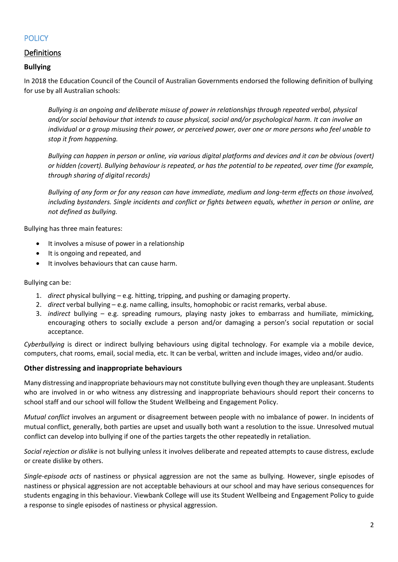# **POLICY**

## **Definitions**

## **Bullying**

In 2018 the Education Council of the Council of Australian Governments endorsed the following definition of bullying for use by all Australian schools:

*Bullying is an ongoing and deliberate misuse of power in relationships through repeated verbal, physical and/or social behaviour that intends to cause physical, social and/or psychological harm. It can involve an individual or a group misusing their power, or perceived power, over one or more persons who feel unable to stop it from happening.*

*Bullying can happen in person or online, via various digital platforms and devices and it can be obvious (overt) or hidden (covert). Bullying behaviour is repeated, or has the potential to be repeated, over time (for example, through sharing of digital records)*

*Bullying of any form or for any reason can have immediate, medium and long-term effects on those involved, including bystanders. Single incidents and conflict or fights between equals, whether in person or online, are not defined as bullying.*

Bullying has three main features:

- It involves a misuse of power in a relationship
- It is ongoing and repeated, and
- It involves behaviours that can cause harm.

Bullying can be:

- 1. *direct* physical bullying e.g. hitting, tripping, and pushing or damaging property.
- 2. *direct* verbal bullying e.g. name calling, insults, homophobic or racist remarks, verbal abuse.
- 3. *indirect* bullying e.g. spreading rumours, playing nasty jokes to embarrass and humiliate, mimicking, encouraging others to socially exclude a person and/or damaging a person's social reputation or social acceptance.

*Cyberbullying* is direct or indirect bullying behaviours using digital technology. For example via a mobile device, computers, chat rooms, email, social media, etc. It can be verbal, written and include images, video and/or audio.

#### **Other distressing and inappropriate behaviours**

Many distressing and inappropriate behaviours may not constitute bullying even though they are unpleasant. Students who are involved in or who witness any distressing and inappropriate behaviours should report their concerns to school staff and our school will follow the Student Wellbeing and Engagement Policy.

*Mutual conflict* involves an argument or disagreement between people with no imbalance of power. In incidents of mutual conflict, generally, both parties are upset and usually both want a resolution to the issue. Unresolved mutual conflict can develop into bullying if one of the parties targets the other repeatedly in retaliation.

*Social rejection or dislike* is not bullying unless it involves deliberate and repeated attempts to cause distress, exclude or create dislike by others.

*Single-episode acts* of nastiness or physical aggression are not the same as bullying. However, single episodes of nastiness or physical aggression are not acceptable behaviours at our school and may have serious consequences for students engaging in this behaviour. Viewbank College will use its Student Wellbeing and Engagement Policy to guide a response to single episodes of nastiness or physical aggression.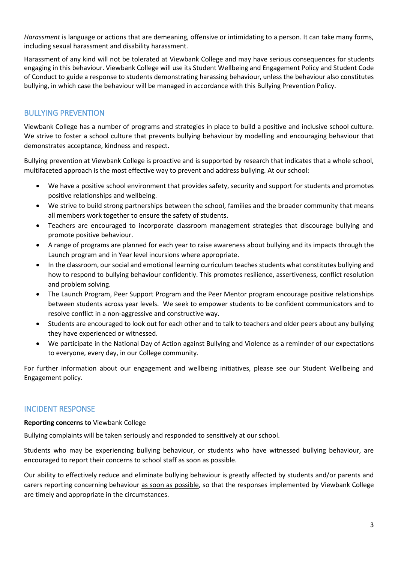*Harassment* is language or actions that are demeaning, offensive or intimidating to a person. It can take many forms, including sexual harassment and disability harassment.

Harassment of any kind will not be tolerated at Viewbank College and may have serious consequences for students engaging in this behaviour. Viewbank College will use its Student Wellbeing and Engagement Policy and Student Code of Conduct to guide a response to students demonstrating harassing behaviour, unless the behaviour also constitutes bullying, in which case the behaviour will be managed in accordance with this Bullying Prevention Policy.

## BULLYING PREVENTION

Viewbank College has a number of programs and strategies in place to build a positive and inclusive school culture. We strive to foster a school culture that prevents bullying behaviour by modelling and encouraging behaviour that demonstrates acceptance, kindness and respect.

Bullying prevention at Viewbank College is proactive and is supported by research that indicates that a whole school, multifaceted approach is the most effective way to prevent and address bullying. At our school:

- We have a positive school environment that provides safety, security and support for students and promotes positive relationships and wellbeing.
- We strive to build strong partnerships between the school, families and the broader community that means all members work together to ensure the safety of students.
- Teachers are encouraged to incorporate classroom management strategies that discourage bullying and promote positive behaviour.
- A range of programs are planned for each year to raise awareness about bullying and its impacts through the Launch program and in Year level incursions where appropriate.
- In the classroom, oursocial and emotional learning curriculum teaches students what constitutes bullying and how to respond to bullying behaviour confidently. This promotes resilience, assertiveness, conflict resolution and problem solving.
- The Launch Program, Peer Support Program and the Peer Mentor program encourage positive relationships between students across year levels. We seek to empower students to be confident communicators and to resolve conflict in a non-aggressive and constructive way.
- Students are encouraged to look out for each other and to talk to teachers and older peers about any bullying they have experienced or witnessed.
- We participate in the National Day of Action against Bullying and Violence as a reminder of our expectations to everyone, every day, in our College community.

For further information about our engagement and wellbeing initiatives, please see our Student Wellbeing and Engagement policy.

## INCIDENT RESPONSE

#### **Reporting concerns to** Viewbank College

Bullying complaints will be taken seriously and responded to sensitively at our school.

Students who may be experiencing bullying behaviour, or students who have witnessed bullying behaviour, are encouraged to report their concerns to school staff as soon as possible.

Our ability to effectively reduce and eliminate bullying behaviour is greatly affected by students and/or parents and carers reporting concerning behaviour as soon as possible, so that the responses implemented by Viewbank College are timely and appropriate in the circumstances.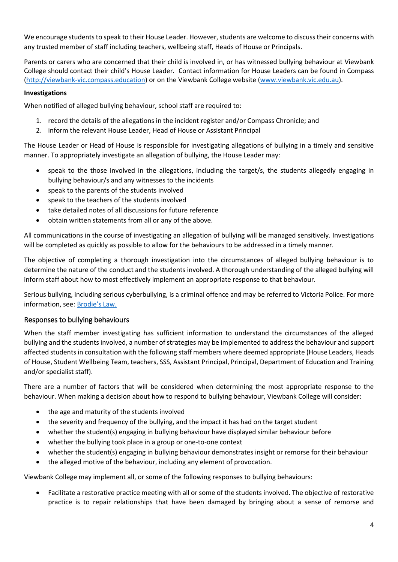We encourage students to speak to their House Leader. However, students are welcome to discuss their concerns with any trusted member of staff including teachers, wellbeing staff, Heads of House or Principals.

Parents or carers who are concerned that their child is involved in, or has witnessed bullying behaviour at Viewbank College should contact their child's House Leader. Contact information for House Leaders can be found in Compass [\(http://viewbank-vic.compass.education\)](http://viewbank-vic.compass.education/) or on the Viewbank College website [\(www.viewbank.vic.edu.au\)](http://www.viewbank.vic.edu.au/).

#### **Investigations**

When notified of alleged bullying behaviour, school staff are required to:

- 1. record the details of the allegations in the incident register and/or Compass Chronicle; and
- 2. inform the relevant House Leader, Head of House or Assistant Principal

The House Leader or Head of House is responsible for investigating allegations of bullying in a timely and sensitive manner. To appropriately investigate an allegation of bullying, the House Leader may:

- speak to the those involved in the allegations, including the target/s, the students allegedly engaging in bullying behaviour/s and any witnesses to the incidents
- speak to the parents of the students involved
- speak to the teachers of the students involved
- take detailed notes of all discussions for future reference
- obtain written statements from all or any of the above.

All communications in the course of investigating an allegation of bullying will be managed sensitively. Investigations will be completed as quickly as possible to allow for the behaviours to be addressed in a timely manner.

The objective of completing a thorough investigation into the circumstances of alleged bullying behaviour is to determine the nature of the conduct and the students involved. A thorough understanding of the alleged bullying will inform staff about how to most effectively implement an appropriate response to that behaviour.

Serious bullying, including serious cyberbullying, is a criminal offence and may be referred to Victoria Police. For more information, see: [Brodie's Law.](http://www.education.vic.gov.au/about/programs/bullystoppers/Pages/advicesheetbrodieslaw.aspx)

#### Responses to bullying behaviours

When the staff member investigating has sufficient information to understand the circumstances of the alleged bullying and the students involved, a number of strategies may be implemented to address the behaviour and support affected students in consultation with the following staff members where deemed appropriate (House Leaders, Heads of House, Student Wellbeing Team, teachers, SSS, Assistant Principal, Principal, Department of Education and Training and/or specialist staff).

There are a number of factors that will be considered when determining the most appropriate response to the behaviour. When making a decision about how to respond to bullying behaviour, Viewbank College will consider:

- the age and maturity of the students involved
- the severity and frequency of the bullying, and the impact it has had on the target student
- whether the student(s) engaging in bullying behaviour have displayed similar behaviour before
- whether the bullying took place in a group or one-to-one context
- whether the student(s) engaging in bullying behaviour demonstrates insight or remorse for their behaviour
- the alleged motive of the behaviour, including any element of provocation.

Viewbank College may implement all, or some of the following responses to bullying behaviours:

 Facilitate a restorative practice meeting with all or some of the students involved. The objective of restorative practice is to repair relationships that have been damaged by bringing about a sense of remorse and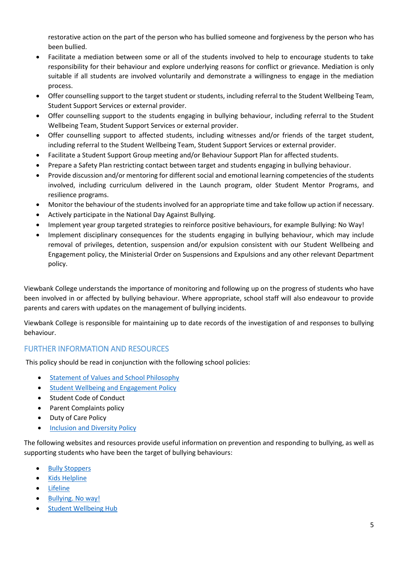restorative action on the part of the person who has bullied someone and forgiveness by the person who has been bullied.

- Facilitate a mediation between some or all of the students involved to help to encourage students to take responsibility for their behaviour and explore underlying reasons for conflict or grievance. Mediation is only suitable if all students are involved voluntarily and demonstrate a willingness to engage in the mediation process.
- Offer counselling support to the target student or students, including referral to the Student Wellbeing Team, Student Support Services or external provider.
- Offer counselling support to the students engaging in bullying behaviour, including referral to the Student Wellbeing Team, Student Support Services or external provider.
- Offer counselling support to affected students, including witnesses and/or friends of the target student, including referral to the Student Wellbeing Team, Student Support Services or external provider.
- Facilitate a Student Support Group meeting and/or Behaviour Support Plan for affected students.
- Prepare a Safety Plan restricting contact between target and students engaging in bullying behaviour.
- Provide discussion and/or mentoring for different social and emotional learning competencies of the students involved, including curriculum delivered in the Launch program, older Student Mentor Programs, and resilience programs.
- Monitor the behaviour of the students involved for an appropriate time and take follow up action if necessary.
- Actively participate in the National Day Against Bullying.
- Implement year group targeted strategies to reinforce positive behaviours, for example Bullying: No Way!
- Implement disciplinary consequences for the students engaging in bullying behaviour, which may include removal of privileges, detention, suspension and/or expulsion consistent with our Student Wellbeing and Engagement policy, the Ministerial Order on Suspensions and Expulsions and any other relevant Department policy.

Viewbank College understands the importance of monitoring and following up on the progress of students who have been involved in or affected by bullying behaviour. Where appropriate, school staff will also endeavour to provide parents and carers with updates on the management of bullying incidents.

Viewbank College is responsible for maintaining up to date records of the investigation of and responses to bullying behaviour.

## FURTHER INFORMATION AND RESOURCES

This policy should be read in conjunction with the following school policies:

- **•** Statement of Values [and School Philosophy](https://www.viewbank.vic.edu.au/wp-content/uploads/2021/05/Statement-of-Values-and-School-Philosophy.pdf)
- **•** [Student Wellbeing and Engagement Policy](https://www.viewbank.vic.edu.au/wp-content/uploads/2021/05/Student-Wellbeing-and-Engagement.pdf)
- Student Code of Conduct
- Parent Complaints policy
- Duty of Care Policy
- [Inclusion and Diversity Policy](https://www.viewbank.vic.edu.au/wp-content/uploads/2021/05/Inclusion-and-Diversity-Policy.pdf)

The following websites and resources provide useful information on prevention and responding to bullying, as well as supporting students who have been the target of bullying behaviours:

- [Bully Stoppers](https://bullyingnoway.gov.au/PreventingBullying/Planning/Pages/School-policy.aspx)
- Kids [Helpline](https://kidshelpline.com.au/)
- [Lifeline](https://www.lifeline.org.au/)
- [Bullying. No way!](https://bullyingnoway.gov.au/PreventingBullying/Planning/Pages/School-policy.aspx)
- **•** [Student Wellbeing Hub](https://www.studentwellbeinghub.edu.au/)